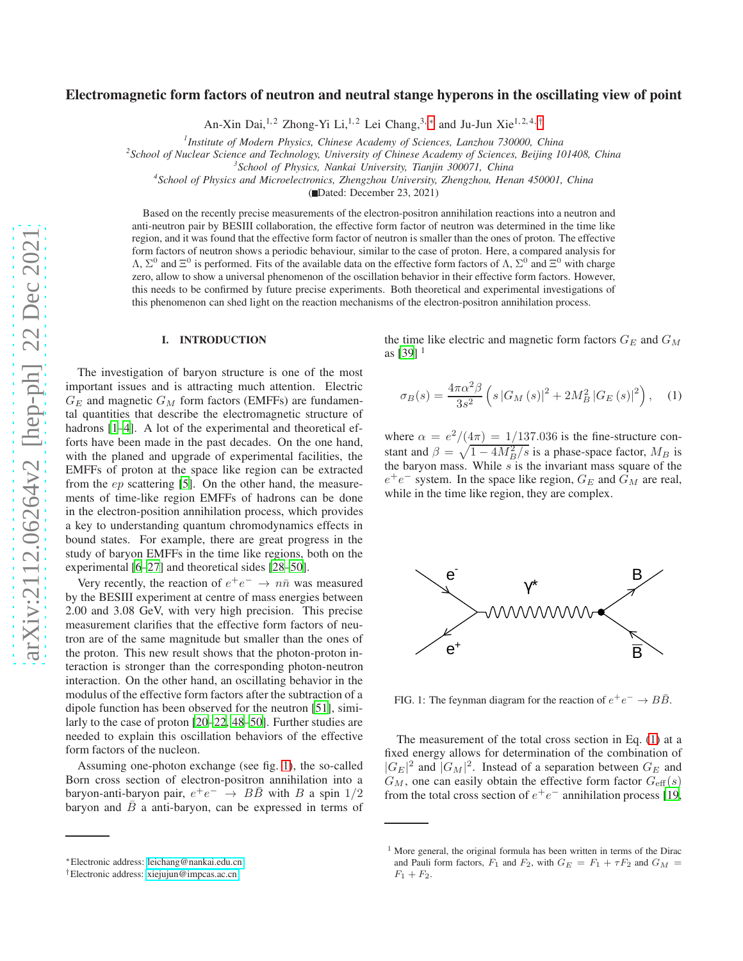# Electromagnetic form factors of neutron and neutral stange hyperons in the oscillating view of point

An-Xin Dai,<sup>1,2</sup> Zhong-Yi Li,<sup>1,2</sup> Lei Chang,<sup>3,[∗](#page-0-0)</sup> and Ju-Jun Xie<sup>1,2,4,[†](#page-0-1)</sup>

*1 Institute of Modern Physics, Chinese Academy of Sciences, Lanzhou 730000, China*

*2 School of Nuclear Science and Technology, University of Chinese Academy of Sciences, Beijing 101408, China*

*3 School of Physics, Nankai University, Tianjin 300071, China*

*4 School of Physics and Microelectronics, Zhengzhou University, Zhengzhou, Henan 450001, China*

( Dated: December 23, 2021)

Based on the recently precise measurements of the electron-positron annihilation reactions into a neutron and anti-neutron pair by BESIII collaboration, the effective form factor of neutron was determined in the time like region, and it was found that the effective form factor of neutron is smaller than the ones of proton. The effective form factors of neutron shows a periodic behaviour, similar to the case of proton. Here, a compared analysis for  $\Lambda$ ,  $\Sigma^0$  and  $\Xi^0$  is performed. Fits of the available data on the effective form factors of  $\Lambda$ ,  $\Sigma^0$  and  $\Xi^0$  with charge zero, allow to show a universal phenomenon of the oscillation behavior in their effective form factors. However, this needs to be confirmed by future precise experiments. Both theoretical and experimental investigations of this phenomenon can shed light on the reaction mechanisms of the electron-positron annihilation process.

## I. INTRODUCTION

The investigation of baryon structure is one of the most important issues and is attracting much attention. Electric  $G_E$  and magnetic  $G_M$  form factors (EMFFs) are fundamental quantities that describe the electromagnetic structure of hadrons [\[1](#page-4-0)[–4](#page-4-1)]. A lot of the experimental and theoretical efforts have been made in the past decades. On the one hand, with the planed and upgrade of experimental facilities, the EMFFs of proton at the space like region can be extracted from the  $ep$  scattering [\[5\]](#page-4-2). On the other hand, the measurements of time-like region EMFFs of hadrons can be done in the electron-position annihilation process, which provides a key to understanding quantum chromodynamics effects in bound states. For example, there are great progress in the study of baryon EMFFs in the time like regions, both on the experimental [\[6](#page-4-3)[–27\]](#page-4-4) and theoretical sides [\[28–](#page-4-5)[50\]](#page-4-6).

Very recently, the reaction of  $e^+e^- \to n\bar{n}$  was measured by the BESIII experiment at centre of mass energies between 2.00 and 3.08 GeV, with very high precision. This precise measurement clarifies that the effective form factors of neutron are of the same magnitude but smaller than the ones of the proton. This new result shows that the photon-proton interaction is stronger than the corresponding photon-neutron interaction. On the other hand, an oscillating behavior in the modulus of the effective form factors after the subtraction of a dipole function has been observed for the neutron [\[51\]](#page-4-7), similarly to the case of proton [\[20–](#page-4-8)[22,](#page-4-9) [48](#page-4-10)[–50](#page-4-6)]. Further studies are needed to explain this oscillation behaviors of the effective form factors of the nucleon.

Assuming one-photon exchange (see fig. [1\)](#page-0-2), the so-called Born cross section of electron-positron annihilation into a baryon-anti-baryon pair,  $e^+e^- \rightarrow B\bar{B}$  with B a spin 1/2 baryon and  $\overline{B}$  a anti-baryon, can be expressed in terms of the time like electric and magnetic form factors  $G_E$  and  $G_M$ as  $[39]$ <sup>1</sup>

<span id="page-0-3"></span>
$$
\sigma_B(s) = \frac{4\pi\alpha^2\beta}{3s^2} \left( s \left| G_M\left(s\right)\right|^2 + 2M_B^2 \left| G_E\left(s\right)\right|^2 \right), \quad (1)
$$

where  $\alpha = e^2/(4\pi) = 1/137.036$  is the fine-structure constant and  $\beta = \sqrt{1 - 4M_B^2/s}$  is a phase-space factor,  $M_B$  is the baryon mass. While  $s$  is the invariant mass square of the  $e^+e^-$  system. In the space like region,  $G_E$  and  $G_M$  are real, while in the time like region, they are complex.



<span id="page-0-2"></span>FIG. 1: The feynman diagram for the reaction of  $e^+e^- \to B\bar{B}$ .

The measurement of the total cross section in Eq. [\(1\)](#page-0-3) at a fixed energy allows for determination of the combination of  $|G_E|^2$  and  $|G_M|^2$ . Instead of a separation between  $G_E$  and  $G_M$ , one can easily obtain the effective form factor  $G_{\text{eff}}(s)$ from the total cross section of  $e^+e^-$  annihilation process [\[19,](#page-4-12)

<span id="page-0-0"></span><sup>∗</sup>Electronic address: [leichang@nankai.edu.cn](mailto:leichang@nankai.edu.cn)

<span id="page-0-1"></span><sup>†</sup>Electronic address: [xiejujun@impcas.ac.cn](mailto:xiejujun@impcas.ac.cn)

<sup>&</sup>lt;sup>1</sup> More general, the original formula has been written in terms of the Dirac and Pauli form factors,  $F_1$  and  $F_2$ , with  $G_E = F_1 + \tau F_2$  and  $G_M =$  $F_1 + F_2.$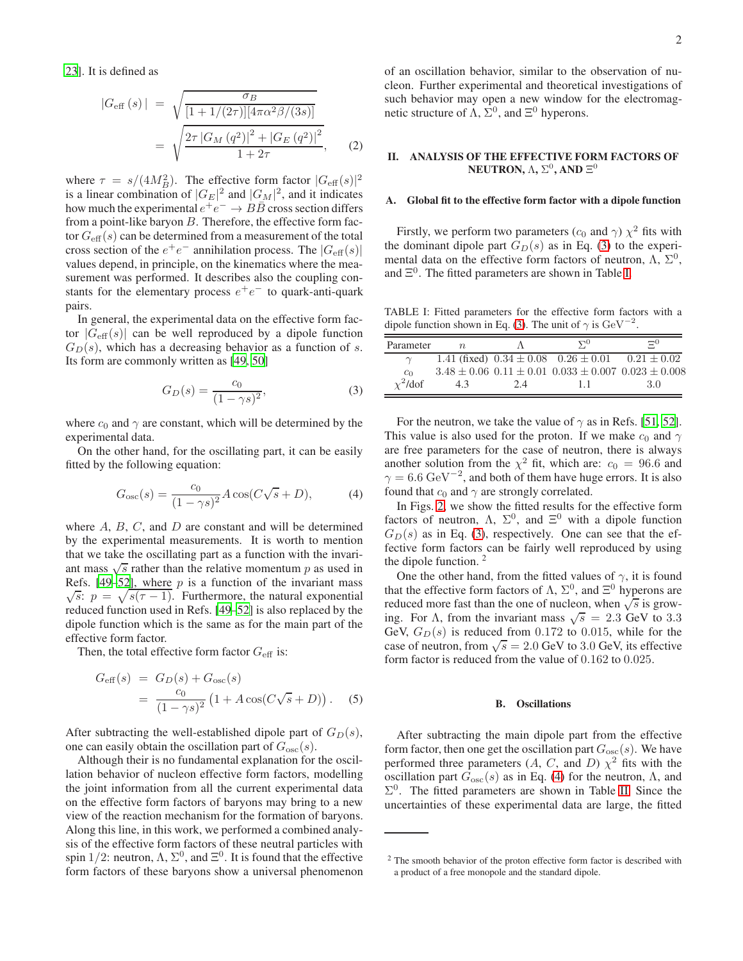[23\]](#page-4-13). It is defined as

$$
|G_{\text{eff}}(s)| = \sqrt{\frac{\sigma_B}{[1 + 1/(2\tau)][4\pi\alpha^2\beta/(3s)]}}
$$
  
= 
$$
\sqrt{\frac{2\tau |G_M(q^2)|^2 + |G_E(q^2)|^2}{1 + 2\tau}},
$$
 (2)

where  $\tau = s/(4M_B^2)$ . The effective form factor  $|G_{\text{eff}}(s)|^2$ is a linear combination of  $|G_E|^2$  and  $|G_M|^2$ , and it indicates how much the experimental  $e^+e^- \rightarrow B\overline{B}$  cross section differs from a point-like baryon  $B$ . Therefore, the effective form factor  $G_{\text{eff}}(s)$  can be determined from a measurement of the total cross section of the  $e^+e^-$  annihilation process. The  $|G_{\text{eff}}(s)|$ values depend, in principle, on the kinematics where the measurement was performed. It describes also the coupling constants for the elementary process  $e^+e^-$  to quark-anti-quark pairs.

In general, the experimental data on the effective form factor  $|G_{\text{eff}}(s)|$  can be well reproduced by a dipole function  $G_D(s)$ , which has a decreasing behavior as a function of s. Its form are commonly written as [\[49,](#page-4-14) [50\]](#page-4-6)

<span id="page-1-0"></span>
$$
G_D(s) = \frac{c_0}{(1 - \gamma s)^2},\tag{3}
$$

where  $c_0$  and  $\gamma$  are constant, which will be determined by the experimental data.

On the other hand, for the oscillating part, it can be easily fitted by the following equation:

<span id="page-1-2"></span>
$$
G_{\rm osc}(s) = \frac{c_0}{(1 - \gamma s)^2} A \cos(C\sqrt{s} + D),
$$
 (4)

where  $A, B, C$ , and  $D$  are constant and will be determined by the experimental measurements. It is worth to mention that we take the oscillating part as a function with the invariant mass  $\sqrt{s}$  rather than the relative momentum p as used in Refs. [\[49](#page-4-14)[–52](#page-4-15)], where  $p$  is a function of the invariant mass  $\sqrt{s}$ :  $p = \sqrt{s(\tau - 1)}$ . Furthermore, the natural exponential reduced function used in Refs. [\[49](#page-4-14)[–52\]](#page-4-15) is also replaced by the dipole function which is the same as for the main part of the effective form factor.

Then, the total effective form factor  $G_{\text{eff}}$  is:

$$
G_{\text{eff}}(s) = G_D(s) + G_{\text{osc}}(s)
$$
  
= 
$$
\frac{c_0}{(1 - \gamma s)^2} (1 + A \cos(C\sqrt{s} + D)).
$$
 (5)

After subtracting the well-established dipole part of  $G_D(s)$ , one can easily obtain the oscillation part of  $G_{\rm osc}(s)$ .

Although their is no fundamental explanation for the oscillation behavior of nucleon effective form factors, modelling the joint information from all the current experimental data on the effective form factors of baryons may bring to a new view of the reaction mechanism for the formation of baryons. Along this line, in this work, we performed a combined analysis of the effective form factors of these neutral particles with spin 1/2: neutron,  $\Lambda$ ,  $\Sigma^0$ , and  $\Xi^0$ . It is found that the effective form factors of these baryons show a universal phenomenon of an oscillation behavior, similar to the observation of nucleon. Further experimental and theoretical investigations of such behavior may open a new window for the electromagnetic structure of  $\Lambda$ ,  $\Sigma^0$ , and  $\Xi^0$  hyperons.

# II. ANALYSIS OF THE EFFECTIVE FORM FACTORS OF NEUTRON,  $\Lambda$ ,  $\Sigma^0$ , and  $\Xi^0$

### A. Global fit to the effective form factor with a dipole function

Firstly, we perform two parameters ( $c_0$  and  $\gamma$ )  $\chi^2$  fits with the dominant dipole part  $G_D(s)$  as in Eq. [\(3\)](#page-1-0) to the experimental data on the effective form factors of neutron,  $\Lambda$ ,  $\Sigma^0$ , and  $\Xi^0$ . The fitted parameters are shown in Table [I.](#page-1-1)

<span id="page-1-1"></span>TABLE I: Fitted parameters for the effective form factors with a dipole function shown in Eq. [\(3\)](#page-1-0). The unit of  $\gamma$  is  $\text{GeV}^{-2}$ .

| Parameter      | $n_{\cdot}$ |     | $\Delta_0$                                                          | ా               |
|----------------|-------------|-----|---------------------------------------------------------------------|-----------------|
|                |             |     | 1.41 (fixed) $0.34 \pm 0.08$ $0.26 \pm 0.01$                        | $0.21 \pm 0.02$ |
| c <sub>0</sub> |             |     | $3.48 \pm 0.06$ $0.11 \pm 0.01$ $0.033 \pm 0.007$ $0.023 \pm 0.008$ |                 |
| $\chi^2$ /dof  | 43          | 2.4 |                                                                     | 3.0             |

For the neutron, we take the value of  $\gamma$  as in Refs. [\[51,](#page-4-7) [52](#page-4-15)]. This value is also used for the proton. If we make  $c_0$  and  $\gamma$ are free parameters for the case of neutron, there is always another solution from the  $\chi^2$  fit, which are:  $c_0 = 96.6$  and  $\gamma = 6.6 \,\text{GeV}^{-2}$ , and both of them have huge errors. It is also found that  $c_0$  and  $\gamma$  are strongly correlated.

In Figs. [2,](#page-2-0) we show the fitted results for the effective form factors of neutron,  $\Lambda$ ,  $\Sigma^0$ , and  $\Xi^0$  with a dipole function  $G_D(s)$  as in Eq. [\(3\)](#page-1-0), respectively. One can see that the effective form factors can be fairly well reproduced by using the dipole function. <sup>2</sup>

One the other hand, from the fitted values of  $\gamma$ , it is found that the effective form factors of  $\Lambda$ ,  $\Sigma^0$ , and  $\Xi^0$  hyperons are reduced more fast than the one of nucleon, when  $\sqrt{s}$  is growing. For  $\Lambda$ , from the invariant mass  $\sqrt{s} = 2.3$  GeV to 3.3 GeV,  $G_D(s)$  is reduced from 0.172 to 0.015, while for the case of neutron, from  $\sqrt{s} = 2.0$  GeV to 3.0 GeV, its effective form factor is reduced from the value of 0.162 to 0.025.

#### B. Oscillations

After subtracting the main dipole part from the effective form factor, then one get the oscillation part  $G_{\rm osc}(s)$ . We have performed three parameters  $(A, C, \text{ and } D)$   $\chi^2$  fits with the oscillation part  $G_{\rm osc}(s)$  as in Eq. [\(4\)](#page-1-2) for the neutron,  $\Lambda$ , and  $\Sigma^0$ . The fitted parameters are shown in Table [II.](#page-2-1) Since the uncertainties of these experimental data are large, the fitted

<sup>&</sup>lt;sup>2</sup> The smooth behavior of the proton effective form factor is described with a product of a free monopole and the standard dipole.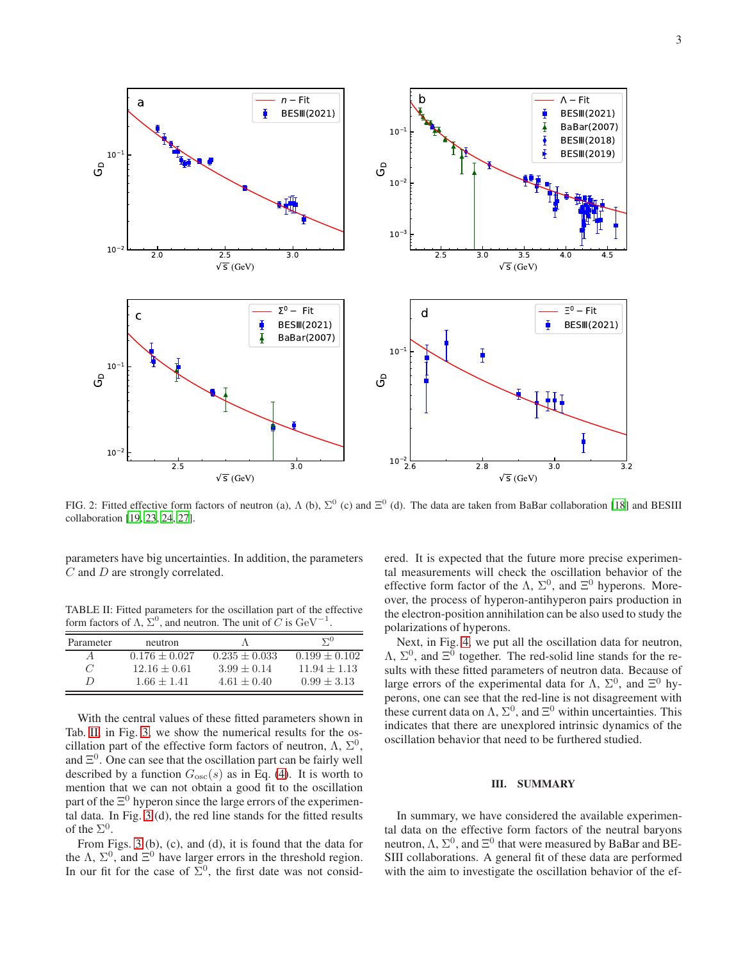

<span id="page-2-0"></span>FIG. 2: Fitted effective form factors of neutron (a),  $\Lambda$  (b),  $\Sigma^0$  (c) and  $\Xi^0$  (d). The data are taken from BaBar collaboration [\[18](#page-4-16)] and BESIII collaboration [\[19](#page-4-12), [23](#page-4-13), [24](#page-4-17), [27\]](#page-4-4).

parameters have big uncertainties. In addition, the parameters C and D are strongly correlated.

<span id="page-2-1"></span>TABLE II: Fitted parameters for the oscillation part of the effective form factors of  $\Lambda$ ,  $\Sigma^0$ , and neutron. The unit of  $\tilde{C}$  is  ${\rm GeV}^{-1}$ .

| Parameter | neutron         |                 | $\Delta_0$      |
|-----------|-----------------|-----------------|-----------------|
|           | $0.176 + 0.027$ | $0.235 + 0.033$ | $0.199 + 0.102$ |
| 7         | $12.16 + 0.61$  | $3.99 + 0.14$   | $11.94 + 1.13$  |
| D         | $1.66 + 1.41$   | $4.61 + 0.40$   | $0.99 + 3.13$   |

With the central values of these fitted parameters shown in Tab. [II,](#page-2-1) in Fig. [3,](#page-3-0) we show the numerical results for the oscillation part of the effective form factors of neutron,  $\Lambda$ ,  $\Sigma^0$ , and  $E^0$ . One can see that the oscillation part can be fairly well described by a function  $G_{\rm osc}(s)$  as in Eq. [\(4\)](#page-1-2). It is worth to mention that we can not obtain a good fit to the oscillation part of the  $\Xi^0$  hyperon since the large errors of the experimental data. In Fig. [3](#page-3-0) (d), the red line stands for the fitted results of the  $\Sigma^0$ .

From Figs. [3](#page-3-0) (b), (c), and (d), it is found that the data for the  $\Lambda$ ,  $\Sigma^0$ , and  $\Xi^0$  have larger errors in the threshold region. In our fit for the case of  $\Sigma^0$ , the first date was not considered. It is expected that the future more precise experimental measurements will check the oscillation behavior of the effective form factor of the  $\Lambda$ ,  $\Sigma^0$ , and  $\Xi^0$  hyperons. Moreover, the process of hyperon-antihyperon pairs production in the electron-position annihilation can be also used to study the polarizations of hyperons.

Next, in Fig. [4,](#page-3-1) we put all the oscillation data for neutron,  $\Lambda$ ,  $\Sigma^0$ , and  $\Xi^0$  together. The red-solid line stands for the results with these fitted parameters of neutron data. Because of large errors of the experimental data for  $\Lambda$ ,  $\Sigma^0$ , and  $\Xi^0$  hyperons, one can see that the red-line is not disagreement with these current data on  $\Lambda$ ,  $\Sigma^0$ , and  $\Xi^0$  within uncertainties. This indicates that there are unexplored intrinsic dynamics of the oscillation behavior that need to be furthered studied.

### III. SUMMARY

In summary, we have considered the available experimental data on the effective form factors of the neutral baryons neutron,  $\Lambda$ ,  $\Sigma^0$ , and  $\Xi^0$  that were measured by BaBar and BE-SIII collaborations. A general fit of these data are performed with the aim to investigate the oscillation behavior of the ef-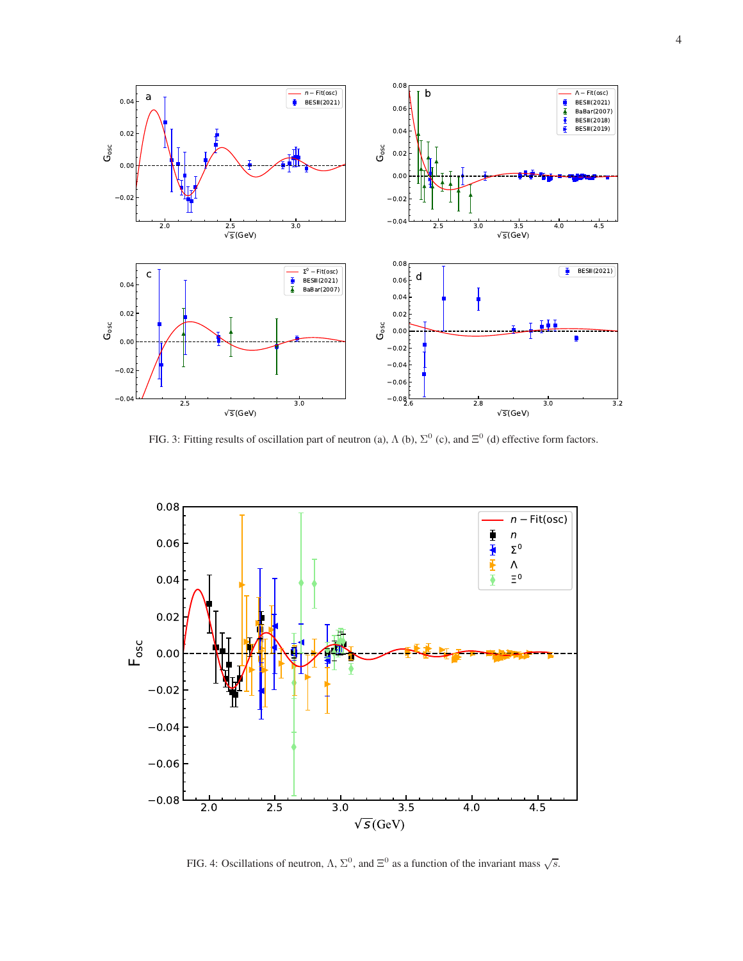

<span id="page-3-0"></span>FIG. 3: Fitting results of oscillation part of neutron (a),  $\Lambda$  (b),  $\Sigma^0$  (c), and  $\Xi^0$  (d) effective form factors.



<span id="page-3-1"></span>FIG. 4: Oscillations of neutron,  $\Lambda$ ,  $\Sigma^0$ , and  $\Xi^0$  as a function of the invariant mass  $\sqrt{s}$ .